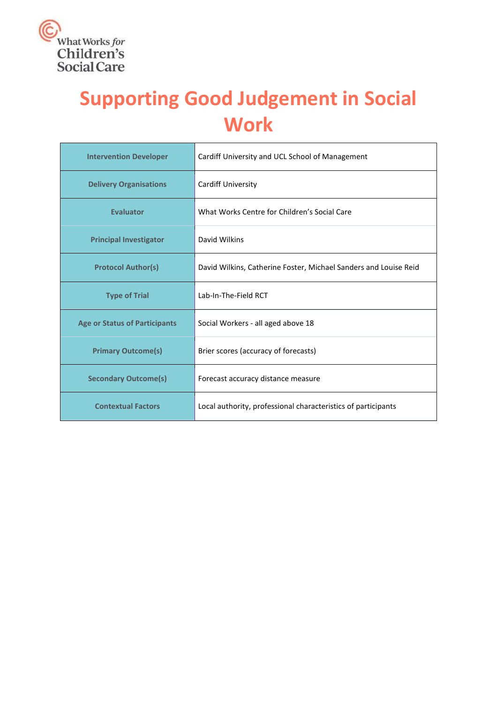

# **Supporting Good Judgement in Social Work**

| <b>Intervention Developer</b>        | Cardiff University and UCL School of Management                  |  |
|--------------------------------------|------------------------------------------------------------------|--|
| <b>Delivery Organisations</b>        | <b>Cardiff University</b>                                        |  |
| <b>Evaluator</b>                     | What Works Centre for Children's Social Care                     |  |
| <b>Principal Investigator</b>        | David Wilkins                                                    |  |
| <b>Protocol Author(s)</b>            | David Wilkins, Catherine Foster, Michael Sanders and Louise Reid |  |
| <b>Type of Trial</b>                 | Lab-In-The-Field RCT                                             |  |
| <b>Age or Status of Participants</b> | Social Workers - all aged above 18                               |  |
| <b>Primary Outcome(s)</b>            | Brier scores (accuracy of forecasts)                             |  |
| <b>Secondary Outcome(s)</b>          | Forecast accuracy distance measure                               |  |
| <b>Contextual Factors</b>            | Local authority, professional characteristics of participants    |  |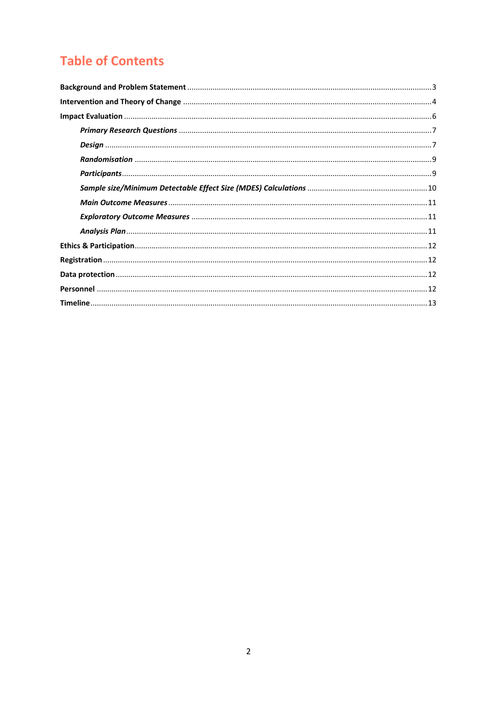## **Table of Contents**

<span id="page-1-0"></span>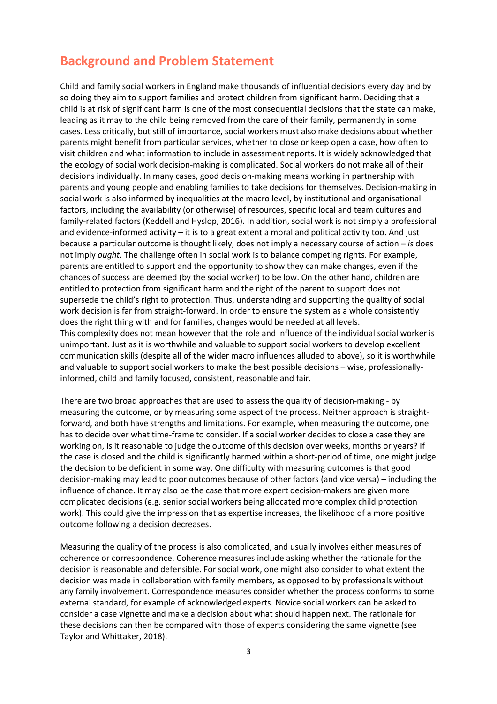### **Background and Problem Statement**

Child and family social workers in England make thousands of influential decisions every day and by so doing they aim to support families and protect children from significant harm. Deciding that a child is at risk of significant harm is one of the most consequential decisions that the state can make, leading as it may to the child being removed from the care of their family, permanently in some cases. Less critically, but still of importance, social workers must also make decisions about whether parents might benefit from particular services, whether to close or keep open a case, how often to visit children and what information to include in assessment reports. It is widely acknowledged that the ecology of social work decision-making is complicated. Social workers do not make all of their decisions individually. In many cases, good decision-making means working in partnership with parents and young people and enabling families to take decisions for themselves. Decision-making in social work is also informed by inequalities at the macro level, by institutional and organisational factors, including the availability (or otherwise) of resources, specific local and team cultures and family-related factors (Keddell and Hyslop, 2016). In addition, social work is not simply a professional and evidence-informed activity – it is to a great extent a moral and political activity too. And just because a particular outcome is thought likely, does not imply a necessary course of action – *is* does not imply *ought*. The challenge often in social work is to balance competing rights. For example, parents are entitled to support and the opportunity to show they can make changes, even if the chances of success are deemed (by the social worker) to be low. On the other hand, children are entitled to protection from significant harm and the right of the parent to support does not supersede the child's right to protection. Thus, understanding and supporting the quality of social work decision is far from straight-forward. In order to ensure the system as a whole consistently does the right thing with and for families, changes would be needed at all levels. This complexity does not mean however that the role and influence of the individual social worker is unimportant. Just as it is worthwhile and valuable to support social workers to develop excellent communication skills (despite all of the wider macro influences alluded to above), so it is worthwhile and valuable to support social workers to make the best possible decisions – wise, professionallyinformed, child and family focused, consistent, reasonable and fair.

There are two broad approaches that are used to assess the quality of decision-making - by measuring the outcome, or by measuring some aspect of the process. Neither approach is straightforward, and both have strengths and limitations. For example, when measuring the outcome, one has to decide over what time-frame to consider. If a social worker decides to close a case they are working on, is it reasonable to judge the outcome of this decision over weeks, months or years? If the case is closed and the child is significantly harmed within a short-period of time, one might judge the decision to be deficient in some way. One difficulty with measuring outcomes is that good decision-making may lead to poor outcomes because of other factors (and vice versa) – including the influence of chance. It may also be the case that more expert decision-makers are given more complicated decisions (e.g. senior social workers being allocated more complex child protection work). This could give the impression that as expertise increases, the likelihood of a more positive outcome following a decision decreases.

Measuring the quality of the process is also complicated, and usually involves either measures of coherence or correspondence. Coherence measures include asking whether the rationale for the decision is reasonable and defensible. For social work, one might also consider to what extent the decision was made in collaboration with family members, as opposed to by professionals without any family involvement. Correspondence measures consider whether the process conforms to some external standard, for example of acknowledged experts. Novice social workers can be asked to consider a case vignette and make a decision about what should happen next. The rationale for these decisions can then be compared with those of experts considering the same vignette (see Taylor and Whittaker, 2018).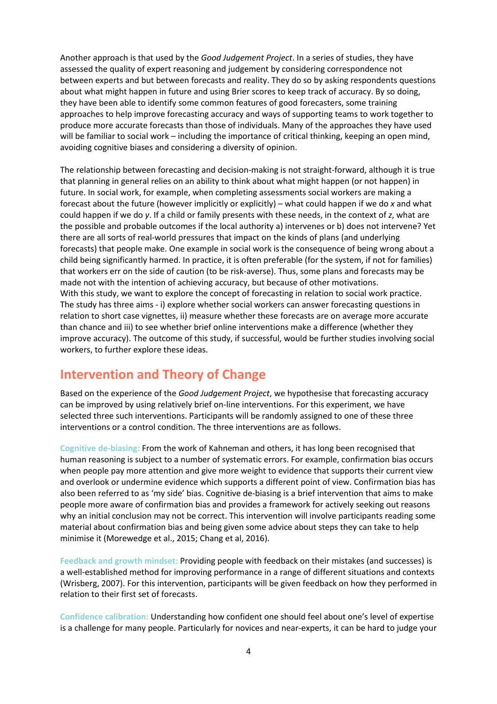Another approach is that used by the *Good Judgement Project*. In a series of studies, they have assessed the quality of expert reasoning and judgement by considering correspondence not between experts and but between forecasts and reality. They do so by asking respondents questions about what might happen in future and using Brier scores to keep track of accuracy. By so doing, they have been able to identify some common features of good forecasters, some training approaches to help improve forecasting accuracy and ways of supporting teams to work together to produce more accurate forecasts than those of individuals. Many of the approaches they have used will be familiar to social work – including the importance of critical thinking, keeping an open mind, avoiding cognitive biases and considering a diversity of opinion.

The relationship between forecasting and decision-making is not straight-forward, although it is true that planning in general relies on an ability to think about what might happen (or not happen) in future. In social work, for example, when completing assessments social workers are making a forecast about the future (however implicitly or explicitly) – what could happen if we do *x* and what could happen if we do *y*. If a child or family presents with these needs, in the context of *z*, what are the possible and probable outcomes if the local authority a) intervenes or b) does not intervene? Yet there are all sorts of real-world pressures that impact on the kinds of plans (and underlying forecasts) that people make. One example in social work is the consequence of being wrong about a child being significantly harmed. In practice, it is often preferable (for the system, if not for families) that workers err on the side of caution (to be risk-averse). Thus, some plans and forecasts may be made not with the intention of achieving accuracy, but because of other motivations. With this study, we want to explore the concept of forecasting in relation to social work practice. The study has three aims - i) explore whether social workers can answer forecasting questions in relation to short case vignettes, ii) measure whether these forecasts are on average more accurate than chance and iii) to see whether brief online interventions make a difference (whether they improve accuracy). The outcome of this study, if successful, would be further studies involving social workers, to further explore these ideas.

### <span id="page-3-0"></span>**Intervention and Theory of Change**

Based on the experience of the *Good Judgement Project*, we hypothesise that forecasting accuracy can be improved by using relatively brief on-line interventions. For this experiment, we have selected three such interventions. Participants will be randomly assigned to one of these three interventions or a control condition. The three interventions are as follows.

**Cognitive de-biasing:** From the work of Kahneman and others, it has long been recognised that human reasoning is subject to a number of systematic errors. For example, confirmation bias occurs when people pay more attention and give more weight to evidence that supports their current view and overlook or undermine evidence which supports a different point of view. Confirmation bias has also been referred to as 'my side' bias. Cognitive de-biasing is a brief intervention that aims to make people more aware of confirmation bias and provides a framework for actively seeking out reasons why an initial conclusion may not be correct. This intervention will involve participants reading some material about confirmation bias and being given some advice about steps they can take to help minimise it (Morewedge et al., 2015; Chang et al, 2016).

**Feedback and growth mindset:** Providing people with feedback on their mistakes (and successes) is a well-established method for improving performance in a range of different situations and contexts (Wrisberg, 2007). For this intervention, participants will be given feedback on how they performed in relation to their first set of forecasts.

**Confidence calibration:** Understanding how confident one should feel about one's level of expertise is a challenge for many people. Particularly for novices and near-experts, it can be hard to judge your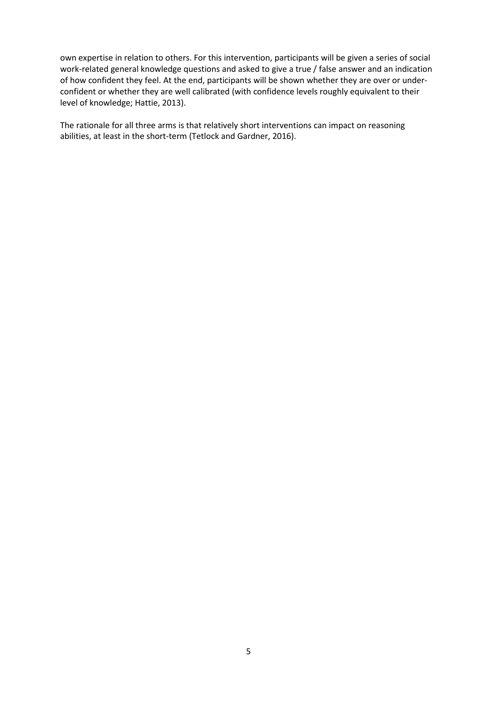own expertise in relation to others. For this intervention, participants will be given a series of social work-related general knowledge questions and asked to give a true / false answer and an indication of how confident they feel. At the end, participants will be shown whether they are over or underconfident or whether they are well calibrated (with confidence levels roughly equivalent to their level of knowledge; Hattie, 2013).

<span id="page-4-0"></span>The rationale for all three arms is that relatively short interventions can impact on reasoning abilities, at least in the short-term (Tetlock and Gardner, 2016).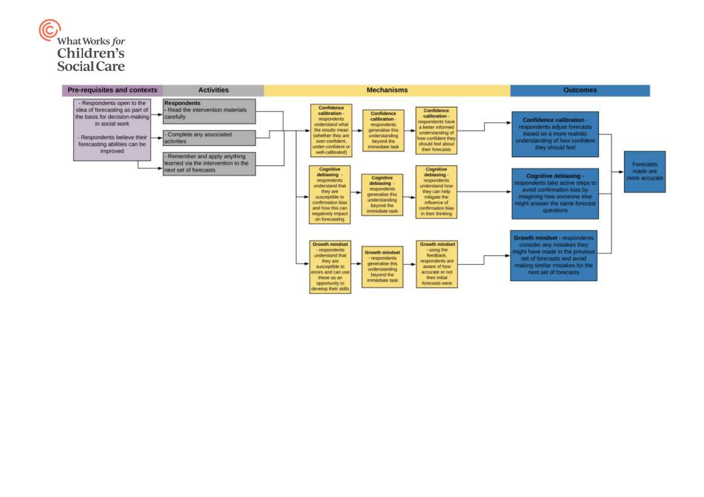

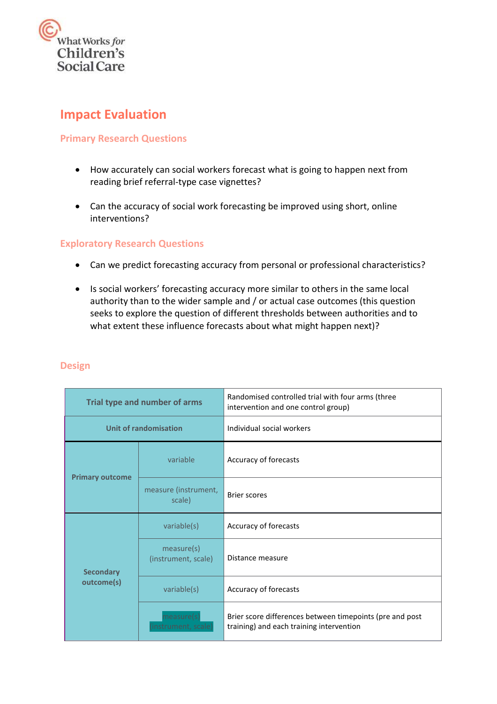

### **Impact Evaluation**

#### <span id="page-6-0"></span>**Primary Research Questions**

- How accurately can social workers forecast what is going to happen next from reading brief referral-type case vignettes?
- Can the accuracy of social work forecasting be improved using short, online interventions?

#### **Exploratory Research Questions**

- Can we predict forecasting accuracy from personal or professional characteristics?
- Is social workers' forecasting accuracy more similar to others in the same local authority than to the wider sample and / or actual case outcomes (this question seeks to explore the question of different thresholds between authorities and to what extent these influence forecasts about what might happen next)?

| Trial type and number of arms  |                                   | Randomised controlled trial with four arms (three<br>intervention and one control group)             |  |  |
|--------------------------------|-----------------------------------|------------------------------------------------------------------------------------------------------|--|--|
|                                | Unit of randomisation             | Individual social workers                                                                            |  |  |
|                                | variable                          | Accuracy of forecasts                                                                                |  |  |
| <b>Primary outcome</b>         | measure (instrument,<br>scale)    | <b>Brier scores</b>                                                                                  |  |  |
|                                | variable(s)                       | Accuracy of forecasts                                                                                |  |  |
| <b>Secondary</b><br>outcome(s) | measure(s)<br>(instrument, scale) | Distance measure                                                                                     |  |  |
|                                | variable(s)                       | Accuracy of forecasts                                                                                |  |  |
|                                | measure<br>(instrument, scale)    | Brier score differences between timepoints (pre and post<br>training) and each training intervention |  |  |

#### <span id="page-6-1"></span>**Design**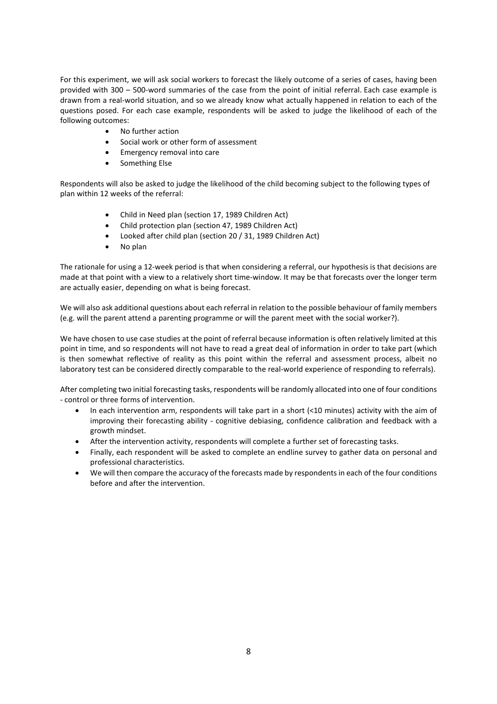For this experiment, we will ask social workers to forecast the likely outcome of a series of cases, having been provided with 300 – 500-word summaries of the case from the point of initial referral. Each case example is drawn from a real-world situation, and so we already know what actually happened in relation to each of the questions posed. For each case example, respondents will be asked to judge the likelihood of each of the following outcomes:

- No further action
- Social work or other form of assessment
- Emergency removal into care
- Something Else

Respondents will also be asked to judge the likelihood of the child becoming subject to the following types of plan within 12 weeks of the referral:

- Child in Need plan (section 17, 1989 Children Act)
- Child protection plan (section 47, 1989 Children Act)
- Looked after child plan (section 20 / 31, 1989 Children Act)
- No plan

The rationale for using a 12-week period is that when considering a referral, our hypothesis is that decisions are made at that point with a view to a relatively short time-window. It may be that forecasts over the longer term are actually easier, depending on what is being forecast.

We will also ask additional questions about each referral in relation to the possible behaviour of family members (e.g. will the parent attend a parenting programme or will the parent meet with the social worker?).

We have chosen to use case studies at the point of referral because information is often relatively limited at this point in time, and so respondents will not have to read a great deal of information in order to take part (which is then somewhat reflective of reality as this point within the referral and assessment process, albeit no laboratory test can be considered directly comparable to the real-world experience of responding to referrals).

After completing two initial forecasting tasks, respondents will be randomly allocated into one of four conditions - control or three forms of intervention.

- In each intervention arm, respondents will take part in a short (<10 minutes) activity with the aim of improving their forecasting ability - cognitive debiasing, confidence calibration and feedback with a growth mindset.
- After the intervention activity, respondents will complete a further set of forecasting tasks.
- Finally, each respondent will be asked to complete an endline survey to gather data on personal and professional characteristics.
- We will then compare the accuracy of the forecasts made by respondentsin each of the four conditions before and after the intervention.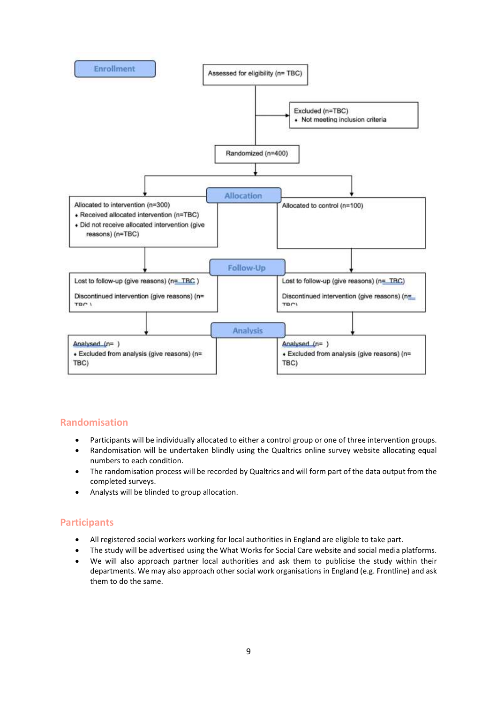

#### <span id="page-8-0"></span>**Randomisation**

- Participants will be individually allocated to either a control group or one of three intervention groups.
- Randomisation will be undertaken blindly using the Qualtrics online survey website allocating equal numbers to each condition.
- The randomisation process will be recorded by Qualtrics and will form part of the data output from the completed surveys.
- Analysts will be blinded to group allocation.

#### <span id="page-8-1"></span>**Participants**

- All registered social workers working for local authorities in England are eligible to take part.
- The study will be advertised using the What Works for Social Care website and social media platforms.
- <span id="page-8-2"></span> We will also approach partner local authorities and ask them to publicise the study within their departments. We may also approach other social work organisations in England (e.g. Frontline) and ask them to do the same.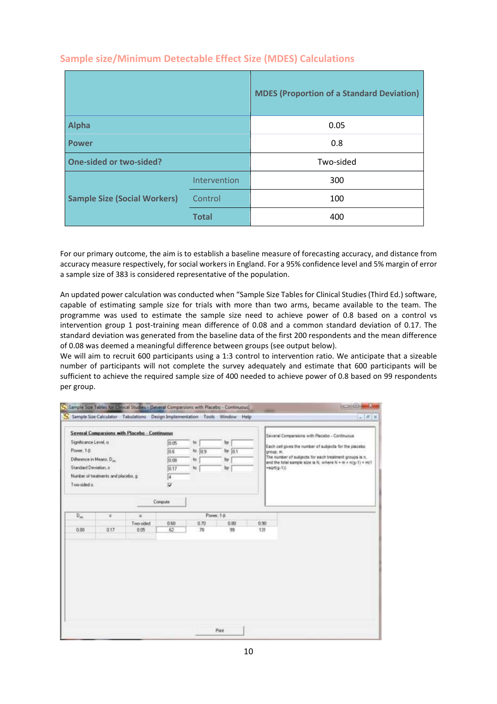|                                     |              | <b>MDES (Proportion of a Standard Deviation)</b> |  |
|-------------------------------------|--------------|--------------------------------------------------|--|
| <b>Alpha</b>                        |              | 0.05                                             |  |
| <b>Power</b>                        |              | 0.8                                              |  |
| <b>One-sided or two-sided?</b>      |              | Two-sided                                        |  |
|                                     | Intervention | 300                                              |  |
| <b>Sample Size (Social Workers)</b> | Control      | 100                                              |  |
|                                     | <b>Total</b> | 400                                              |  |

#### **Sample size/Minimum Detectable Effect Size (MDES) Calculations**

For our primary outcome, the aim is to establish a baseline measure of forecasting accuracy, and distance from accuracy measure respectively, for social workers in England. For a 95% confidence level and 5% margin of error a sample size of 383 is considered representative of the population.

An updated power calculation was conducted when "Sample Size Tables for Clinical Studies (Third Ed.) software, capable of estimating sample size for trials with more than two arms, became available to the team. The programme was used to estimate the sample size need to achieve power of 0.8 based on a control vs intervention group 1 post-training mean difference of 0.08 and a common standard deviation of 0.17. The standard deviation was generated from the baseline data of the first 200 respondents and the mean difference of 0.08 was deemed a meaningful difference between groups (see output below).

We will aim to recruit 600 participants using a 1:3 control to intervention ratio. We anticipate that a sizeable number of participants will not complete the survey adequately and estimate that 600 participants will be sufficient to achieve the required sample size of 400 needed to achieve power of 0.8 based on 99 respondents per group.

| Significance Level, x.<br>Power, 1-B<br>Difference in Means, D.<br>Standard Deviation, o<br>Two-sided at | Number of treatments and placebo, g. | Several Comparsions with Placebo - Continuous | 加巧<br>0.6<br>ooe<br>0.17<br>k<br>u | 枷<br>$to$ $0.9$<br>to.<br>to | by<br>by: $0.1$<br>by.<br>by. | group, m.<br>+sart(g-1)) | Several Comparsions with Placebo - Continuous<br>Each cell gives the number of subjects for the placebo<br>The number of subjects for each treatment groups is n.<br>and the total sample size is N, where N = m + n(g-1) = m(1) |
|----------------------------------------------------------------------------------------------------------|--------------------------------------|-----------------------------------------------|------------------------------------|------------------------------|-------------------------------|--------------------------|----------------------------------------------------------------------------------------------------------------------------------------------------------------------------------------------------------------------------------|
|                                                                                                          |                                      |                                               | Compute                            |                              |                               |                          |                                                                                                                                                                                                                                  |
| $D_{\rm m}$                                                                                              | b.                                   | ×                                             |                                    |                              | Power, 1-B                    |                          |                                                                                                                                                                                                                                  |
| 0.00                                                                                                     | 0.17                                 | Two-cided<br>0.05                             | 0.60<br>62                         | 0.70<br>70                   | 0.80<br>99                    | 0.99<br>131              |                                                                                                                                                                                                                                  |
|                                                                                                          |                                      |                                               |                                    |                              |                               |                          |                                                                                                                                                                                                                                  |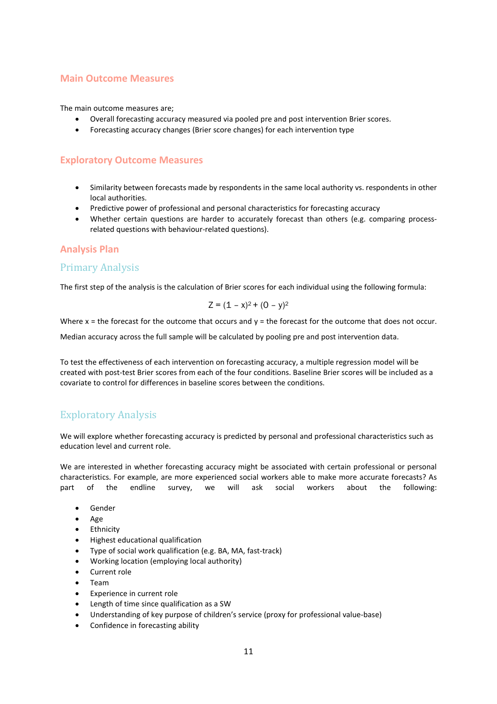#### <span id="page-10-0"></span>**Main Outcome Measures**

The main outcome measures are;

- Overall forecasting accuracy measured via pooled pre and post intervention Brier scores.
- Forecasting accuracy changes (Brier score changes) for each intervention type

#### <span id="page-10-1"></span>**Exploratory Outcome Measures**

- Similarity between forecasts made by respondents in the same local authority vs. respondents in other local authorities.
- Predictive power of professional and personal characteristics for forecasting accuracy
- Whether certain questions are harder to accurately forecast than others (e.g. comparing processrelated questions with behaviour-related questions).

#### <span id="page-10-2"></span>**Analysis Plan**

#### Primary Analysis

The first step of the analysis is the calculation of Brier scores for each individual using the following formula:

$$
Z = (1 - x)^2 + (0 - y)^2
$$

Where  $x =$  the forecast for the outcome that occurs and  $y =$  the forecast for the outcome that does not occur.

Median accuracy across the full sample will be calculated by pooling pre and post intervention data.

To test the effectiveness of each intervention on forecasting accuracy, a multiple regression model will be created with post-test Brier scores from each of the four conditions. Baseline Brier scores will be included as a covariate to control for differences in baseline scores between the conditions.

#### Exploratory Analysis

We will explore whether forecasting accuracy is predicted by personal and professional characteristics such as education level and current role.

We are interested in whether forecasting accuracy might be associated with certain professional or personal characteristics. For example, are more experienced social workers able to make more accurate forecasts? As part of the endline survey, we will ask social workers about the following:

- Gender
- Age
- **•** Ethnicity
- Highest educational qualification
- Type of social work qualification (e.g. BA, MA, fast-track)
- Working location (employing local authority)
- Current role
- Team
- Experience in current role
- Length of time since qualification as a SW
- Understanding of key purpose of children's service (proxy for professional value-base)
- Confidence in forecasting ability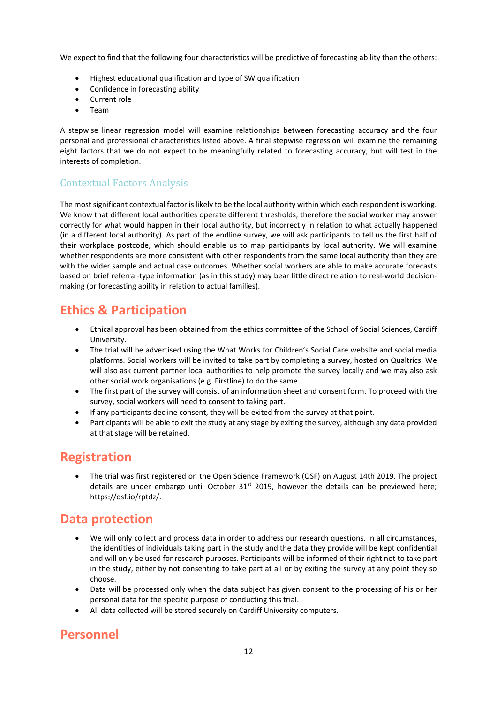We expect to find that the following four characteristics will be predictive of forecasting ability than the others:

- Highest educational qualification and type of SW qualification
- Confidence in forecasting ability
- Current role
- Team

A stepwise linear regression model will examine relationships between forecasting accuracy and the four personal and professional characteristics listed above. A final stepwise regression will examine the remaining eight factors that we do not expect to be meaningfully related to forecasting accuracy, but will test in the interests of completion.

### Contextual Factors Analysis

The most significant contextual factor islikely to be the local authority within which each respondent is working. We know that different local authorities operate different thresholds, therefore the social worker may answer correctly for what would happen in their local authority, but incorrectly in relation to what actually happened (in a different local authority). As part of the endline survey, we will ask participants to tell us the first half of their workplace postcode, which should enable us to map participants by local authority. We will examine whether respondents are more consistent with other respondents from the same local authority than they are with the wider sample and actual case outcomes. Whether social workers are able to make accurate forecasts based on brief referral-type information (as in this study) may bear little direct relation to real-world decisionmaking (or forecasting ability in relation to actual families).

### <span id="page-11-0"></span>**Ethics & Participation**

- Ethical approval has been obtained from the ethics committee of the School of Social Sciences, Cardiff University.
- The trial will be advertised using the What Works for Children's Social Care website and social media platforms. Social workers will be invited to take part by completing a survey, hosted on Qualtrics. We will also ask current partner local authorities to help promote the survey locally and we may also ask other social work organisations (e.g. Firstline) to do the same.
- The first part of the survey will consist of an information sheet and consent form. To proceed with the survey, social workers will need to consent to taking part.
- If any participants decline consent, they will be exited from the survey at that point.
- Participants will be able to exit the study at any stage by exiting the survey, although any data provided at that stage will be retained.

### <span id="page-11-1"></span>**Registration**

 The trial was first registered on the Open Science Framework (OSF) on August 14th 2019. The project details are under embargo until October 31<sup>st</sup> 2019, however the details can be previewed here; [https://osf.io/rptdz/.](https://osf.io/rptdz/)

### <span id="page-11-2"></span>**Data protection**

- We will only collect and process data in order to address our research questions. In all circumstances, the identities of individuals taking part in the study and the data they provide will be kept confidential and will only be used for research purposes. Participants will be informed of their right not to take part in the study, either by not consenting to take part at all or by exiting the survey at any point they so choose.
- Data will be processed only when the data subject has given consent to the processing of his or her personal data for the specific purpose of conducting this trial.
- All data collected will be stored securely on Cardiff University computers.

### <span id="page-11-3"></span>**Personnel**